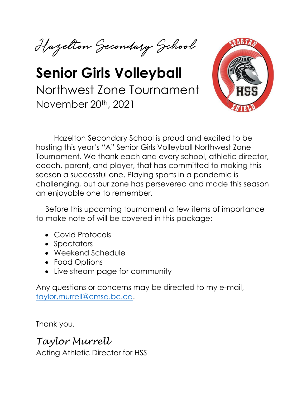Hazelton Secondary School

# **Senior Girls Volleyball** Northwest Zone Tournament November 20th, 2021



Hazelton Secondary School is proud and excited to be hosting this year's "A" Senior Girls Volleyball Northwest Zone Tournament. We thank each and every school, athletic director, coach, parent, and player, that has committed to making this season a successful one. Playing sports in a pandemic is challenging, but our zone has persevered and made this season an enjoyable one to remember.

Before this upcoming tournament a few items of importance to make note of will be covered in this package:

- Covid Protocols
- Spectators
- Weekend Schedule
- Food Options
- Live stream page for community

Any questions or concerns may be directed to my e-mail, [taylor.murrell@cmsd.bc.ca.](mailto:taylor.murrell@cmsd.bc.ca)

Thank you,

*Taylor Murrell*

Acting Athletic Director for HSS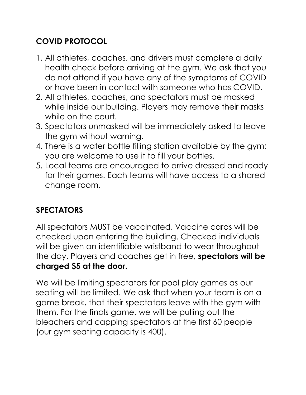## **COVID PROTOCOL**

- 1. All athletes, coaches, and drivers must complete a daily health check before arriving at the gym. We ask that you do not attend if you have any of the symptoms of COVID or have been in contact with someone who has COVID.
- 2. All athletes, coaches, and spectators must be masked while inside our building. Players may remove their masks while on the court.
- 3. Spectators unmasked will be immediately asked to leave the gym without warning.
- 4. There is a water bottle filling station available by the gym; you are welcome to use it to fill your bottles.
- 5. Local teams are encouraged to arrive dressed and ready for their games. Each teams will have access to a shared change room.

#### **SPECTATORS**

All spectators MUST be vaccinated. Vaccine cards will be checked upon entering the building. Checked individuals will be given an identifiable wristband to wear throughout the day. Players and coaches get in free, **spectators will be charged \$5 at the door.** 

We will be limiting spectators for pool play games as our seating will be limited. We ask that when your team is on a game break, that their spectators leave with the gym with them. For the finals game, we will be pulling out the bleachers and capping spectators at the first 60 people (our gym seating capacity is 400).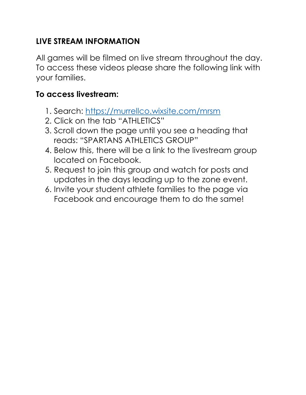#### **LIVE STREAM INFORMATION**

All games will be filmed on live stream throughout the day. To access these videos please share the following link with your families.

#### **To access livestream:**

- 1. Search:<https://murrellco.wixsite.com/mrsm>
- 2. Click on the tab "ATHLETICS"
- 3. Scroll down the page until you see a heading that reads: "SPARTANS ATHLETICS GROUP"
- 4. Below this, there will be a link to the livestream group located on Facebook.
- 5. Request to join this group and watch for posts and updates in the days leading up to the zone event.
- 6. Invite your student athlete families to the page via Facebook and encourage them to do the same!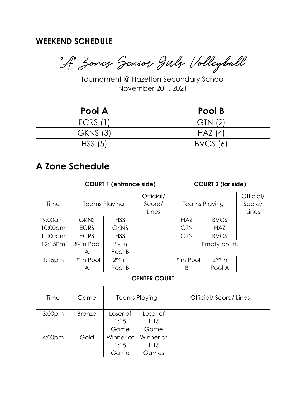#### **WEEKEND SCHEDULE**

"A" Zones Senior Girls Volleyball

Tournament @ Hazelton Secondary School November 20th, 2021

| Pool A          | Pool B          |
|-----------------|-----------------|
| <b>ECRS (1)</b> | GTN (2)         |
| <b>GKNS (3)</b> | H A Z (4)       |
| HSS(5)          | <b>BVCS</b> (6) |

## **A Zone Schedule**

|                     | <b>COURT 1 (entrance side)</b> |                      | <b>COURT 2 (far side)</b>    |                         |             |                              |  |  |
|---------------------|--------------------------------|----------------------|------------------------------|-------------------------|-------------|------------------------------|--|--|
| Time                | <b>Teams Playing</b>           |                      | Official/<br>Score/<br>Lines | <b>Teams Playing</b>    |             | Official/<br>Score/<br>Lines |  |  |
| $9:00$ am           | <b>GKNS</b>                    | <b>HSS</b>           |                              | <b>HAZ</b>              | <b>BVCS</b> |                              |  |  |
| 10:00am             | <b>ECRS</b>                    | <b>GKNS</b>          |                              | <b>GTN</b>              | <b>HAZ</b>  |                              |  |  |
| 11:00am             | <b>ECRS</b>                    | <b>HSS</b>           |                              | <b>GTN</b>              | <b>BVCS</b> |                              |  |  |
| 12:15Pm             | 3rd in Pool                    | $3rd$ in             |                              | Empty court.            |             |                              |  |  |
|                     | A                              | Pool B               |                              |                         |             |                              |  |  |
| 1:15pm              | 1st in Pool                    | $2nd$ in             |                              | 1 <sup>st</sup> in Pool | $2nd$ in    |                              |  |  |
|                     | A                              | Pool B               |                              | B                       | Pool A      |                              |  |  |
| <b>CENTER COURT</b> |                                |                      |                              |                         |             |                              |  |  |
| Time                | Game                           | <b>Teams Playing</b> |                              | Official/Score/Lines    |             |                              |  |  |
| 3:00 <sub>pm</sub>  | <b>Bronze</b>                  | Loser of             | Loser of                     |                         |             |                              |  |  |
|                     |                                | 1:15                 | 1:15                         |                         |             |                              |  |  |
|                     |                                | Game                 | Game                         |                         |             |                              |  |  |
| 4:00 <sub>pm</sub>  | Gold                           | Winner of            | Winner of                    |                         |             |                              |  |  |
|                     |                                | 1:15                 | 1:15                         |                         |             |                              |  |  |
|                     |                                | Game                 | Games                        |                         |             |                              |  |  |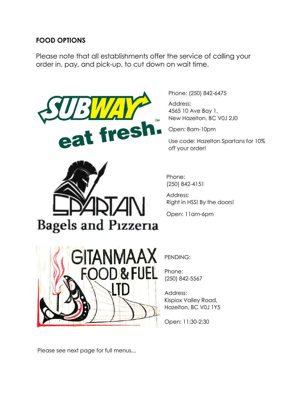#### **FOOD OPTIONS**

Please note that all establishments offer the service of calling your order in, pay, and pick-up, to cut down on wait time.





Phone: [\(250\) 842-6475](https://www.google.com/search?q=subway+hazelton+phone+number&oq=subway+hazelton+phone+number&aqs=edge..69i57.5322j0j9&sourceid=chrome&ie=UTF-8)

Address: 4565 10 Ave Bay 1, New Hazelton, BC V0J 2J0

Open: 8am-10pm

Use code: Hazelton Spartans for 10% off your order!

Phone: (250) 842-4151

Address: Right in HSS! By the doors!

Open: 11am-6pm



PENDING:

Phone: (250) 842-5567

Address: Kispiox Valley Road, Hazelton, BC V0J 1Y5

Open: 11:30-2:30

Please see next page for full menus...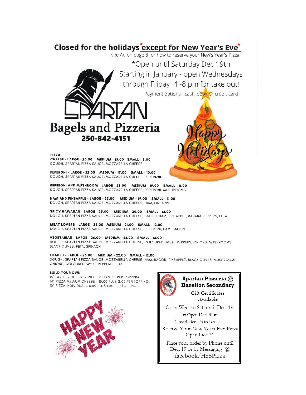#### Closed for the holidays except for New Year's Eve<sup>\*</sup>

see Ad on page 8 for how to reserve your New's Year's Pizza

\*Open until Saturday Dec 19th Starting in January - open Wednesdays through Friday 4 -8 pm for take out! Payment options - cash, debit or credit card

# **Bagels and Pizzeria** 250-842-4151

PIZZA:

CHEESE - LARGE - 20.00 MEDIUM - 15.00 SMALL - 8.00 DOUGH, SPARTAN PIZZA SAUCE, MOZZARELLA CHEESE

PEPERONI - LARGE - 22.00 MEDIUM - 17.00 SMALL - 10.00 DOUGH, SPARTAN PIZZA SAUCE, MOZZARELLA CHEESE, PEPERONI

PEPERONI AND MUSHROOM - LARGE - 23.00 MEDIUM - 19.00 SMALL - 11.00 DOUGH, SPARTAN PIZZA SAUCE, MOZZARELLA CHEESE, PEPERONI, MUSHROOMS

HAM AND PINEAPPLE - LARGE - 23.00 MEDIUM - 19.00 SMALL - 11.00 DOUGH, SPARTAN PIZZA SAUCE, MOZZARELLA CHEESE, HAM, PINEAPPLE

SPICY HAWAIIAN - LARGE - 25.00 MEDIUM - 20.00 SMALL - 12.00 DOUGH, SPARTAN PIZZA SAUCE, MOZZARELLA CHEESE, BACON, HAM, PINEAPPLE, BANANA PEPPERS, FETA

MEAT LOVERS - LARGE - 26.00 MEDIUM - 21.00 SMALL - 12.00 DOUGH, SPARTAN PIZZA SAUCE, MOZZARELLA CHEESE, PEPERONI, HAM, BACON

VEGETARIAN - LARGE - 26.00 MEDIUM - 22.00 SMALL - 12.00

DOUGH, SPARTAN PIZZA SAUCE, MOZZARELLA CHEESE, COLOURED SWEET PEPPERS, ONIONS, MUSHROOMS, **BLACK OLIVES, FETA, SPINACH** 

#### LOADED - LARGE - 26.00 MEDIUM - 22.00 SMALL - 12.00

DOUGH, SPARTAN PIZZA SAUCE, MOZZARELLA CHEESE, HAM, BACON, PINEAPPLE, BLACK OLIVES, MUSHROOMS, ONIONS, COLOURED SWEET PEPPERS, FETA

#### **BUILD YOUR OWN**

16" LARGE - CHEESE - 20.00 PLUS 2.50 PER TOPPING. 14" PIZZA MEDIUM CHEESE - 15.00 PLUS 2.00 PER TOPPING. 10" PIZZA INDIVIDUAL - 8.00 PLUS 1.50 PER TOPPING





#### Spartan Pizzeria @ **Hazelton Secondary**

Gift Certificates Available

Open Wed. to Sat. until Dec. 19  $\star$  Open Dec. 31  $\star$ Closed Dec. 23 to Jan. 2. Reserve Your New Years Eve Pizza

'Open Dec.31' Place your order by Phone until Dec. 19 or by Messaging  $\omega$ 

facebook/HSSPizza